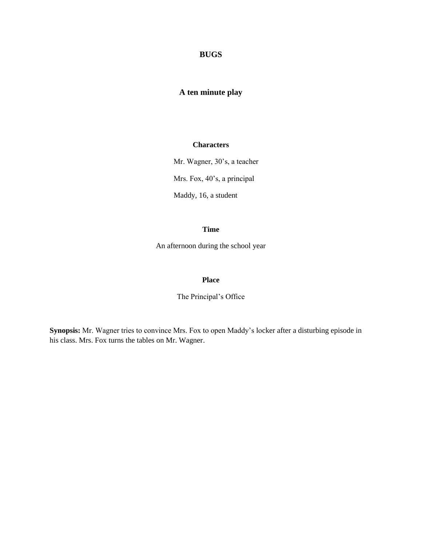# **BUGS**

# **A ten minute play**

# **Characters**

Mr. Wagner, 30's, a teacher

Mrs. Fox, 40's, a principal

Maddy, 16, a student

## **Time**

An afternoon during the school year

#### **Place**

The Principal's Office

**Synopsis:** Mr. Wagner tries to convince Mrs. Fox to open Maddy's locker after a disturbing episode in his class. Mrs. Fox turns the tables on Mr. Wagner.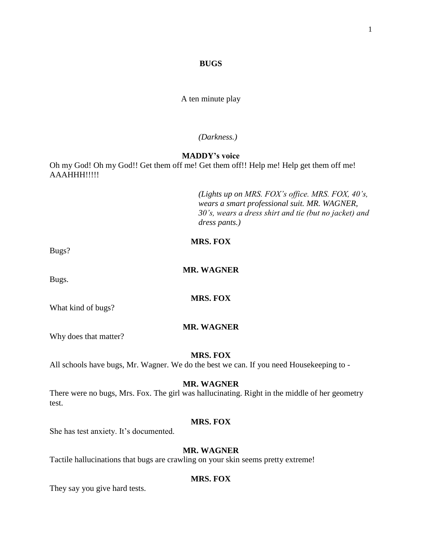#### **BUGS**

A ten minute play

*(Darkness.)*

# **MADDY's voice**

Oh my God! Oh my God!! Get them off me! Get them off!! Help me! Help get them off me! AAAHHH!!!!!

> *(Lights up on MRS. FOX's office. MRS. FOX, 40's, wears a smart professional suit. MR. WAGNER, 30's, wears a dress shirt and tie (but no jacket) and dress pants.)*

# **MRS. FOX**

Bugs?

# **MR. WAGNER**

Bugs.

What kind of bugs?

#### **MR. WAGNER**

**MRS. FOX**

Why does that matter?

#### **MRS. FOX**

All schools have bugs, Mr. Wagner. We do the best we can. If you need Housekeeping to -

#### **MR. WAGNER**

There were no bugs, Mrs. Fox. The girl was hallucinating. Right in the middle of her geometry test.

#### **MRS. FOX**

She has test anxiety. It's documented.

# **MR. WAGNER**

Tactile hallucinations that bugs are crawling on your skin seems pretty extreme!

# **MRS. FOX**

They say you give hard tests.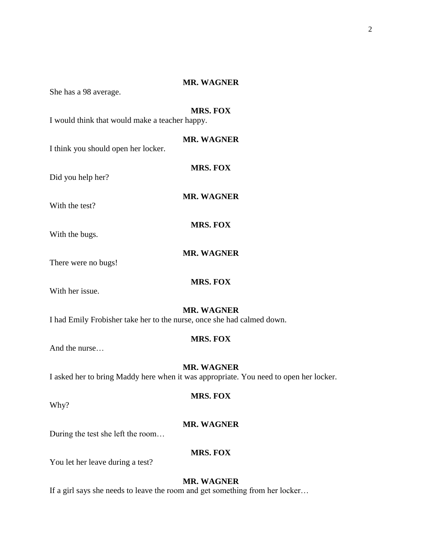2

# **MR. WAGNER**

She has a 98 average.

# **MRS. FOX**

I would think that would make a teacher happy.

**MR. WAGNER** I think you should open her locker.

Did you help her?

**MR. WAGNER**

**MRS. FOX**

**MR. WAGNER**

**MRS. FOX**

**MRS. FOX**

With the test?

With the bugs.

There were no bugs!

With her issue.

# **MR. WAGNER**

I had Emily Frobisher take her to the nurse, once she had calmed down.

# **MRS. FOX**

And the nurse…

**MR. WAGNER** I asked her to bring Maddy here when it was appropriate. You need to open her locker.

Why?

# **MRS. FOX**

# **MR. WAGNER**

During the test she left the room…

# **MRS. FOX**

You let her leave during a test?

# **MR. WAGNER**

If a girl says she needs to leave the room and get something from her locker…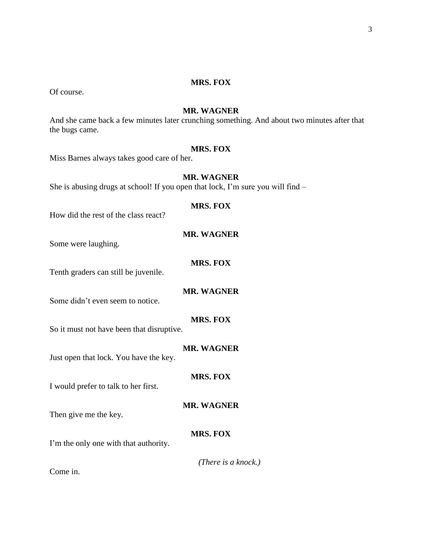#### **MRS. FOX**

Of course.

# **MR. WAGNER**

And she came back a few minutes later crunching something. And about two minutes after that the bugs came.

# **MRS. FOX**

Miss Barnes always takes good care of her.

# **MR. WAGNER**

She is abusing drugs at school! If you open that lock, I'm sure you will find –

# **MRS. FOX**

How did the rest of the class react?

#### **MR. WAGNER**

Some were laughing.

# **MRS. FOX**

Tenth graders can still be juvenile.

# **MR. WAGNER**

Some didn't even seem to notice.

# **MRS. FOX**

So it must not have been that disruptive.

# **MR. WAGNER**

Just open that lock. You have the key.

#### **MRS. FOX**

**MR. WAGNER**

I would prefer to talk to her first.

Then give me the key.

#### **MRS. FOX**

I'm the only one with that authority.

#### *(There is a knock.)*

Come in.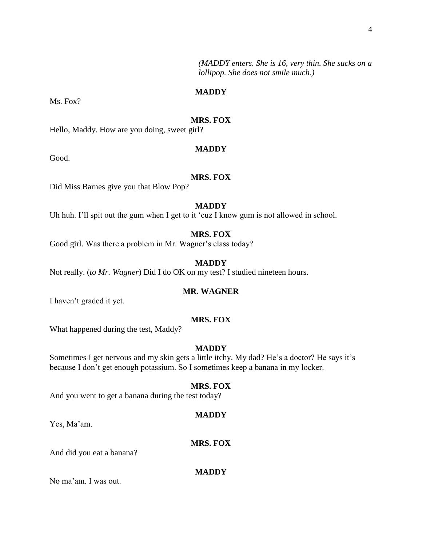4

*(MADDY enters. She is 16, very thin. She sucks on a lollipop. She does not smile much.)*

# **MADDY**

Ms. Fox?

#### **MRS. FOX**

Hello, Maddy. How are you doing, sweet girl?

#### **MADDY**

Good.

## **MRS. FOX**

Did Miss Barnes give you that Blow Pop?

# **MADDY**

Uh huh. I'll spit out the gum when I get to it 'cuz I know gum is not allowed in school.

# **MRS. FOX**

Good girl. Was there a problem in Mr. Wagner's class today?

# **MADDY**

Not really. (*to Mr. Wagner*) Did I do OK on my test? I studied nineteen hours.

# **MR. WAGNER**

I haven't graded it yet.

#### **MRS. FOX**

What happened during the test, Maddy?

# **MADDY**

Sometimes I get nervous and my skin gets a little itchy. My dad? He's a doctor? He says it's because I don't get enough potassium. So I sometimes keep a banana in my locker.

#### **MRS. FOX**

And you went to get a banana during the test today?

#### **MADDY**

Yes, Ma'am.

# **MRS. FOX**

And did you eat a banana?

#### **MADDY**

No ma'am. I was out.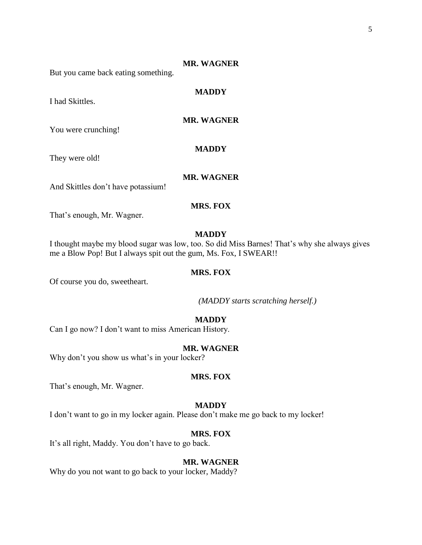#### **MR. WAGNER**

But you came back eating something.

# **MADDY**

**MR. WAGNER**

You were crunching!

They were old!

I had Skittles.

#### **MR. WAGNER**

**MADDY**

And Skittles don't have potassium!

# **MRS. FOX**

That's enough, Mr. Wagner.

#### **MADDY**

I thought maybe my blood sugar was low, too. So did Miss Barnes! That's why she always gives me a Blow Pop! But I always spit out the gum, Ms. Fox, I SWEAR!!

# **MRS. FOX**

Of course you do, sweetheart.

*(MADDY starts scratching herself.)*

# **MADDY**

Can I go now? I don't want to miss American History.

# **MR. WAGNER**

Why don't you show us what's in your locker?

#### **MRS. FOX**

That's enough, Mr. Wagner.

#### **MADDY**

I don't want to go in my locker again. Please don't make me go back to my locker!

# **MRS. FOX**

It's all right, Maddy. You don't have to go back.

# **MR. WAGNER**

Why do you not want to go back to your locker, Maddy?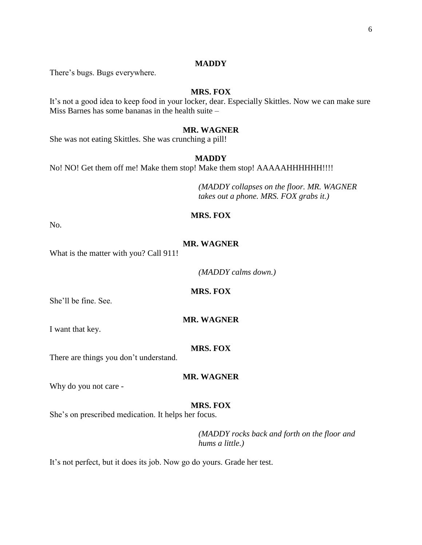#### **MADDY**

There's bugs. Bugs everywhere.

# **MRS. FOX**

It's not a good idea to keep food in your locker, dear. Especially Skittles. Now we can make sure Miss Barnes has some bananas in the health suite –

# **MR. WAGNER**

She was not eating Skittles. She was crunching a pill!

#### **MADDY**

No! NO! Get them off me! Make them stop! Make them stop! AAAAAHHHHHH!!!!

*(MADDY collapses on the floor. MR. WAGNER takes out a phone. MRS. FOX grabs it.)*

# **MRS. FOX**

No.

# **MR. WAGNER**

What is the matter with you? Call 911!

*(MADDY calms down.)*

**MRS. FOX**

She'll be fine. See.

#### **MR. WAGNER**

I want that key.

#### **MRS. FOX**

There are things you don't understand.

#### **MR. WAGNER**

Why do you not care -

#### **MRS. FOX**

She's on prescribed medication. It helps her focus.

*(MADDY rocks back and forth on the floor and hums a little.)*

It's not perfect, but it does its job. Now go do yours. Grade her test.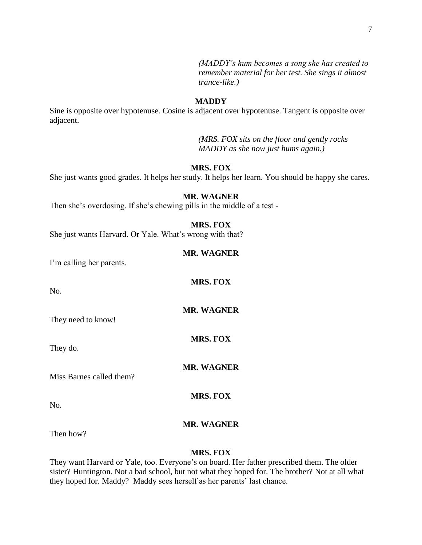*(MADDY's hum becomes a song she has created to remember material for her test. She sings it almost trance-like.)*

#### **MADDY**

Sine is opposite over hypotenuse. Cosine is adjacent over hypotenuse. Tangent is opposite over adjacent.

> *(MRS. FOX sits on the floor and gently rocks MADDY as she now just hums again.)*

#### **MRS. FOX**

She just wants good grades. It helps her study. It helps her learn. You should be happy she cares.

# **MR. WAGNER**

Then she's overdosing. If she's chewing pills in the middle of a test -

# **MRS. FOX**

She just wants Harvard. Or Yale. What's wrong with that?

#### **MR. WAGNER**

**MRS. FOX**

**MR. WAGNER**

**MRS. FOX**

I'm calling her parents.

No.

They need to know!

They do.

**MR. WAGNER**

Miss Barnes called them?

No.

# **MR. WAGNER**

**MRS. FOX**

Then how?

#### **MRS. FOX**

They want Harvard or Yale, too. Everyone's on board. Her father prescribed them. The older sister? Huntington. Not a bad school, but not what they hoped for. The brother? Not at all what they hoped for. Maddy? Maddy sees herself as her parents' last chance.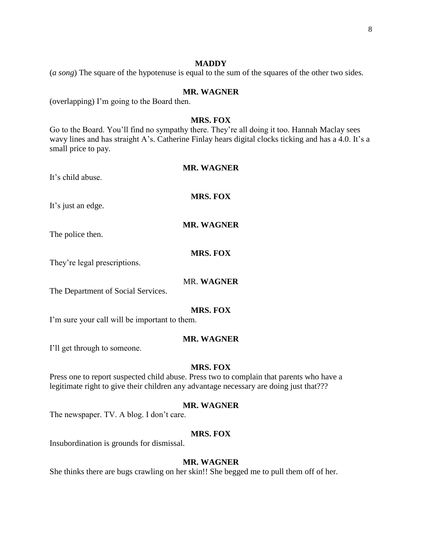#### **MADDY**

(*a song*) The square of the hypotenuse is equal to the sum of the squares of the other two sides.

#### **MR. WAGNER**

(overlapping) I'm going to the Board then.

#### **MRS. FOX**

Go to the Board. You'll find no sympathy there. They're all doing it too. Hannah Maclay sees wavy lines and has straight A's. Catherine Finlay hears digital clocks ticking and has a 4.0. It's a small price to pay.

# **MR. WAGNER**

It's child abuse.

# **MRS. FOX**

It's just an edge.

**MR. WAGNER**

The police then.

#### **MRS. FOX**

They're legal prescriptions.

#### MR. **WAGNER**

The Department of Social Services.

# **MRS. FOX**

I'm sure your call will be important to them.

#### **MR. WAGNER**

I'll get through to someone.

# **MRS. FOX**

Press one to report suspected child abuse. Press two to complain that parents who have a legitimate right to give their children any advantage necessary are doing just that???

#### **MR. WAGNER**

The newspaper. TV. A blog. I don't care.

#### **MRS. FOX**

Insubordination is grounds for dismissal.

# **MR. WAGNER**

She thinks there are bugs crawling on her skin!! She begged me to pull them off of her.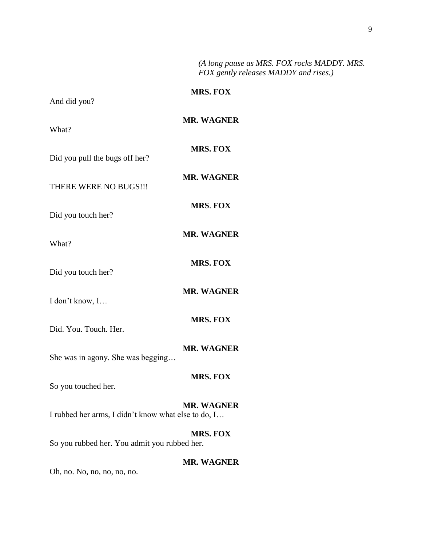*(A long pause as MRS. FOX rocks MADDY. MRS. FOX gently releases MADDY and rises.)*

| And did you?                                        | <b>MRS. FOX</b>   |
|-----------------------------------------------------|-------------------|
| What?                                               | <b>MR. WAGNER</b> |
| Did you pull the bugs off her?                      | <b>MRS. FOX</b>   |
| THERE WERE NO BUGS!!!                               | <b>MR. WAGNER</b> |
| Did you touch her?                                  | <b>MRS. FOX</b>   |
| What?                                               | <b>MR. WAGNER</b> |
| Did you touch her?                                  | <b>MRS. FOX</b>   |
| I don't know, I                                     | <b>MR. WAGNER</b> |
| Did. You. Touch. Her.                               | <b>MRS. FOX</b>   |
| She was in agony. She was begging                   | <b>MR. WAGNER</b> |
| So you touched her.                                 | <b>MRS. FOX</b>   |
| I rubbed her arms, I didn't know what else to do, I | <b>MR. WAGNER</b> |
| So you rubbed her. You admit you rubbed her.        | <b>MRS. FOX</b>   |
| $Oh$ no $N0$ no no no                               | <b>MR. WAGNER</b> |

Oh, no. No, no, no, no, no.